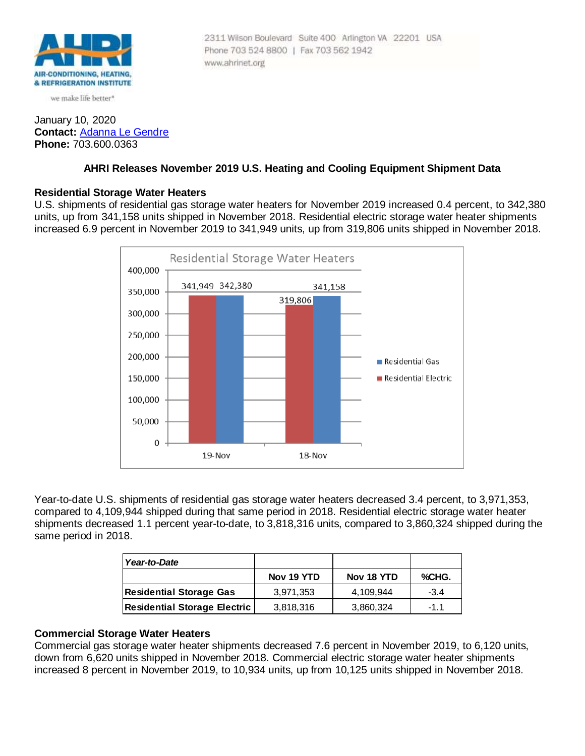

we make life better\*

### January 10, 2020 **Contact:** [Adanna Le Gendre](mailto:AleGendre@ahrinet.org) **Phone:** 703.600.0363

#### 2311 Wilson Boulevard Suite 400 Arlington VA 22201 USA Phone 703 524 8800 | Fax 703 562 1942 www.ahrinet.org

# **AHRI Releases November 2019 U.S. Heating and Cooling Equipment Shipment Data**

# **Residential Storage Water Heaters**

U.S. shipments of residential gas storage water heaters for November 2019 increased 0.4 percent, to 342,380 units, up from 341,158 units shipped in November 2018. Residential electric storage water heater shipments increased 6.9 percent in November 2019 to 341,949 units, up from 319,806 units shipped in November 2018.



Year-to-date U.S. shipments of residential gas storage water heaters decreased 3.4 percent, to 3,971,353, compared to 4,109,944 shipped during that same period in 2018. Residential electric storage water heater shipments decreased 1.1 percent year-to-date, to 3,818,316 units, compared to 3,860,324 shipped during the same period in 2018.

| Year-to-Date                   |            |            |        |
|--------------------------------|------------|------------|--------|
|                                | Nov 19 YTD | Nov 18 YTD | %CHG.  |
| <b>Residential Storage Gas</b> | 3,971,353  | 4.109.944  | $-3.4$ |
| Residential Storage Electric   | 3,818,316  | 3,860,324  | $-11$  |

# **Commercial Storage Water Heaters**

Commercial gas storage water heater shipments decreased 7.6 percent in November 2019, to 6,120 units, down from 6,620 units shipped in November 2018. Commercial electric storage water heater shipments increased 8 percent in November 2019, to 10,934 units, up from 10,125 units shipped in November 2018.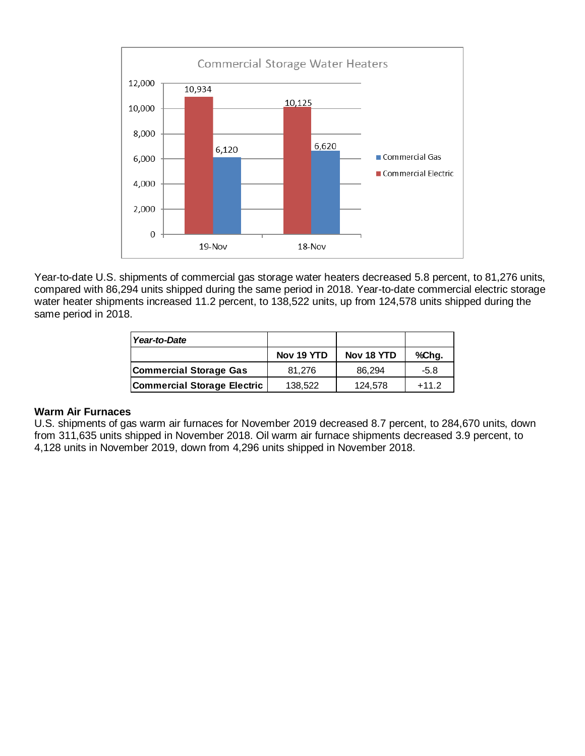

Year-to-date U.S. shipments of commercial gas storage water heaters decreased 5.8 percent, to 81,276 units, compared with 86,294 units shipped during the same period in 2018. Year-to-date commercial electric storage water heater shipments increased 11.2 percent, to 138,522 units, up from 124,578 units shipped during the same period in 2018.

| Year-to-Date                       |            |            |         |
|------------------------------------|------------|------------|---------|
|                                    | Nov 19 YTD | Nov 18 YTD | %Chg.   |
| Commercial Storage Gas             | 81.276     | 86.294     | $-5.8$  |
| <b>Commercial Storage Electric</b> | 138,522    | 124,578    | $+11.2$ |

#### **Warm Air Furnaces**

U.S. shipments of gas warm air furnaces for November 2019 decreased 8.7 percent, to 284,670 units, down from 311,635 units shipped in November 2018. Oil warm air furnace shipments decreased 3.9 percent, to 4,128 units in November 2019, down from 4,296 units shipped in November 2018.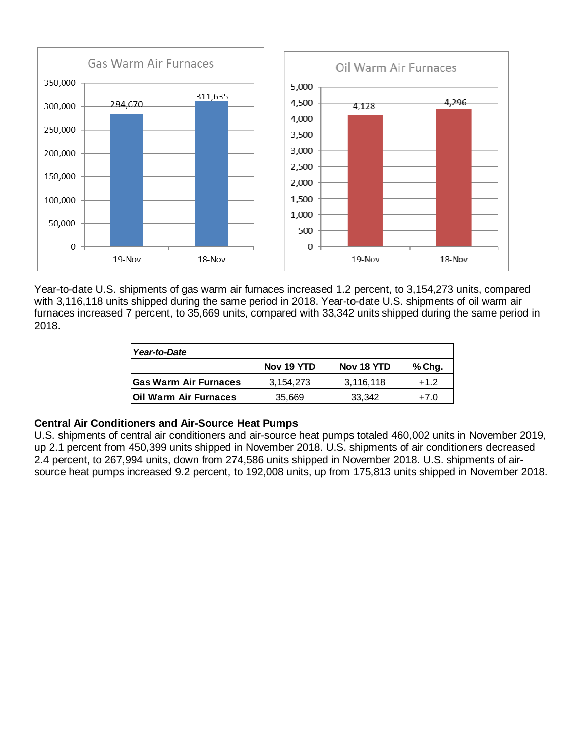

Year-to-date U.S. shipments of gas warm air furnaces increased 1.2 percent, to 3,154,273 units, compared with 3,116,118 units shipped during the same period in 2018. Year-to-date U.S. shipments of oil warm air furnaces increased 7 percent, to 35,669 units, compared with 33,342 units shipped during the same period in 2018.

| Year-to-Date                  |            |            |        |
|-------------------------------|------------|------------|--------|
|                               | Nov 19 YTD | Nov 18 YTD | % Chg. |
| <b>Gas Warm Air Furnaces</b>  | 3,154,273  | 3,116,118  | $+1.2$ |
| <b>IOII Warm Air Furnaces</b> | 35,669     | 33,342     | $+7.0$ |

# **Central Air Conditioners and Air-Source Heat Pumps**

U.S. shipments of central air conditioners and air-source heat pumps totaled 460,002 units in November 2019, up 2.1 percent from 450,399 units shipped in November 2018. U.S. shipments of air conditioners decreased 2.4 percent, to 267,994 units, down from 274,586 units shipped in November 2018. U.S. shipments of airsource heat pumps increased 9.2 percent, to 192,008 units, up from 175,813 units shipped in November 2018.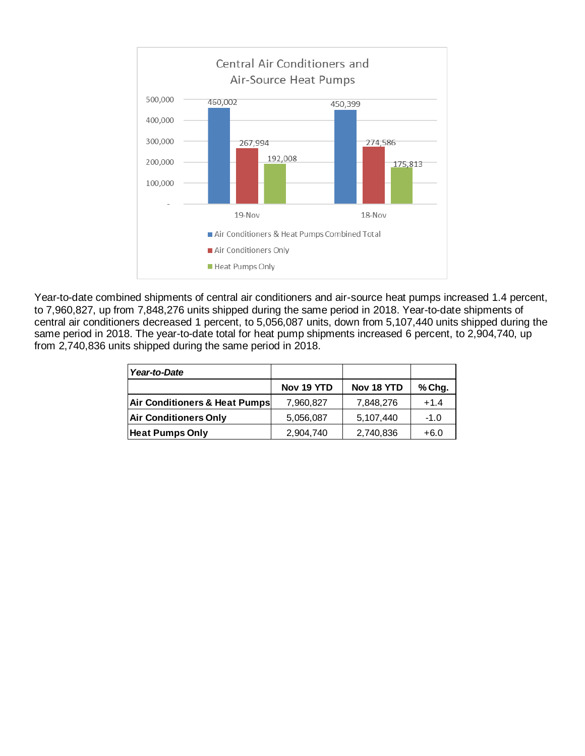

Year-to-date combined shipments of central air conditioners and air-source heat pumps increased 1.4 percent, to 7,960,827, up from 7,848,276 units shipped during the same period in 2018. Year-to-date shipments of central air conditioners decreased 1 percent, to 5,056,087 units, down from 5,107,440 units shipped during the same period in 2018. The year-to-date total for heat pump shipments increased 6 percent, to 2,904,740, up from 2,740,836 units shipped during the same period in 2018.

| Year-to-Date                  |            |            |        |
|-------------------------------|------------|------------|--------|
|                               | Nov 19 YTD | Nov 18 YTD | % Chg. |
| Air Conditioners & Heat Pumps | 7,960,827  | 7,848,276  | $+1.4$ |
| <b>Air Conditioners Only</b>  | 5,056,087  | 5,107,440  | $-1.0$ |
| <b>Heat Pumps Only</b>        | 2,904,740  | 2,740,836  | $+6.0$ |